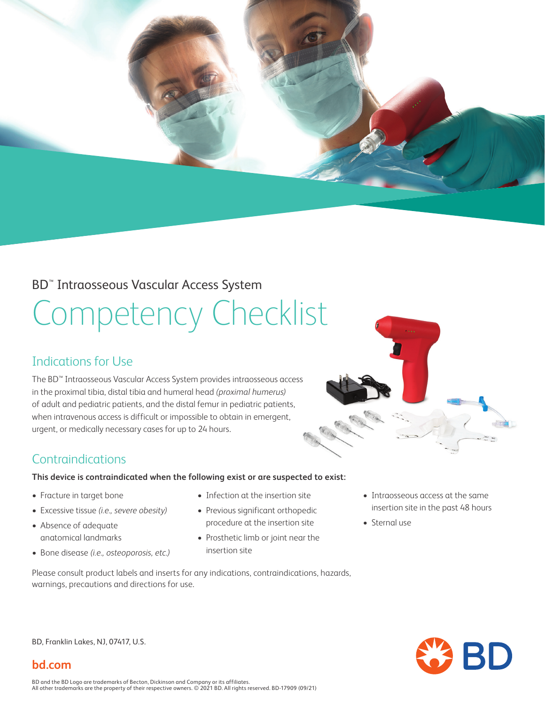

### BD™ Intraosseous Vascular Access System

# Competency Checklist

## Indications for Use

The BD™ Intraosseous Vascular Access System provides intraosseous access in the proximal tibia, distal tibia and humeral head *(proximal humerus)*  of adult and pediatric patients, and the distal femur in pediatric patients, when intravenous access is difficult or impossible to obtain in emergent, urgent, or medically necessary cases for up to 24 hours.



#### **This device is contraindicated when the following exist or are suspected to exist:**

- Fracture in target bone
- Excessive tissue *(i.e., severe obesity)*
- Absence of adequate anatomical landmarks
- Bone disease *(i.e., osteoporosis, etc.)*
- Infection at the insertion site
- Previous significant orthopedic procedure at the insertion site
- Prosthetic limb or joint near the insertion site
- Please consult product labels and inserts for any indications, contraindications, hazards, warnings, precautions and directions for use.
- Intraosseous access at the same insertion site in the past 48 hours
- Sternal use

BD, Franklin Lakes, NJ, 07417, U.S.



#### **bd.com**